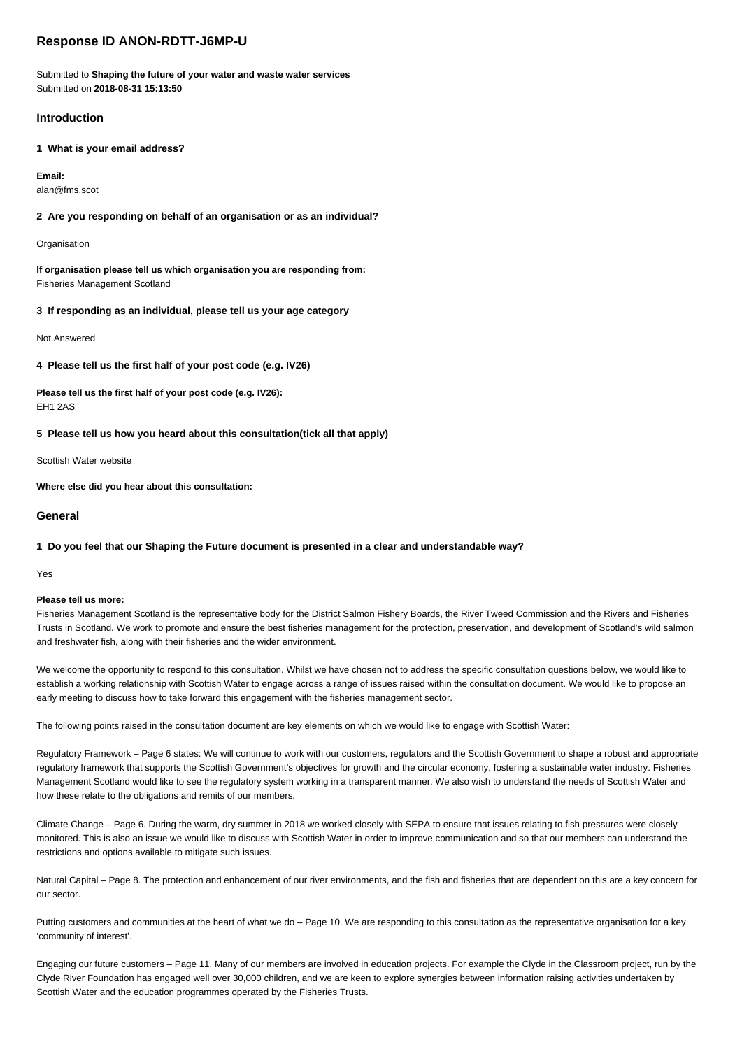# **Response ID ANON-RDTT-J6MP-U**

Submitted to **Shaping the future of your water and waste water services** Submitted on **2018-08-31 15:13:50**

## **Introduction**

**1 What is your email address?**

**Email:** alan@fms.scot

## **2 Are you responding on behalf of an organisation or as an individual?**

**Organisation** 

**If organisation please tell us which organisation you are responding from:** Fisheries Management Scotland

**3 If responding as an individual, please tell us your age category**

Not Answered

**4 Please tell us the first half of your post code (e.g. IV26)**

**Please tell us the first half of your post code (e.g. IV26):** EH1 2AS

**5 Please tell us how you heard about this consultation(tick all that apply)**

Scottish Water website

**Where else did you hear about this consultation:**

### **General**

### **1 Do you feel that our Shaping the Future document is presented in a clear and understandable way?**

Yes

#### **Please tell us more:**

Fisheries Management Scotland is the representative body for the District Salmon Fishery Boards, the River Tweed Commission and the Rivers and Fisheries Trusts in Scotland. We work to promote and ensure the best fisheries management for the protection, preservation, and development of Scotland's wild salmon and freshwater fish, along with their fisheries and the wider environment.

We welcome the opportunity to respond to this consultation. Whilst we have chosen not to address the specific consultation questions below, we would like to establish a working relationship with Scottish Water to engage across a range of issues raised within the consultation document. We would like to propose an early meeting to discuss how to take forward this engagement with the fisheries management sector.

The following points raised in the consultation document are key elements on which we would like to engage with Scottish Water:

Regulatory Framework – Page 6 states: We will continue to work with our customers, regulators and the Scottish Government to shape a robust and appropriate regulatory framework that supports the Scottish Government's objectives for growth and the circular economy, fostering a sustainable water industry. Fisheries Management Scotland would like to see the regulatory system working in a transparent manner. We also wish to understand the needs of Scottish Water and how these relate to the obligations and remits of our members.

Climate Change – Page 6. During the warm, dry summer in 2018 we worked closely with SEPA to ensure that issues relating to fish pressures were closely monitored. This is also an issue we would like to discuss with Scottish Water in order to improve communication and so that our members can understand the restrictions and options available to mitigate such issues.

Natural Capital – Page 8. The protection and enhancement of our river environments, and the fish and fisheries that are dependent on this are a key concern for our sector.

Putting customers and communities at the heart of what we do – Page 10. We are responding to this consultation as the representative organisation for a key 'community of interest'.

Engaging our future customers – Page 11. Many of our members are involved in education projects. For example the Clyde in the Classroom project, run by the Clyde River Foundation has engaged well over 30,000 children, and we are keen to explore synergies between information raising activities undertaken by Scottish Water and the education programmes operated by the Fisheries Trusts.